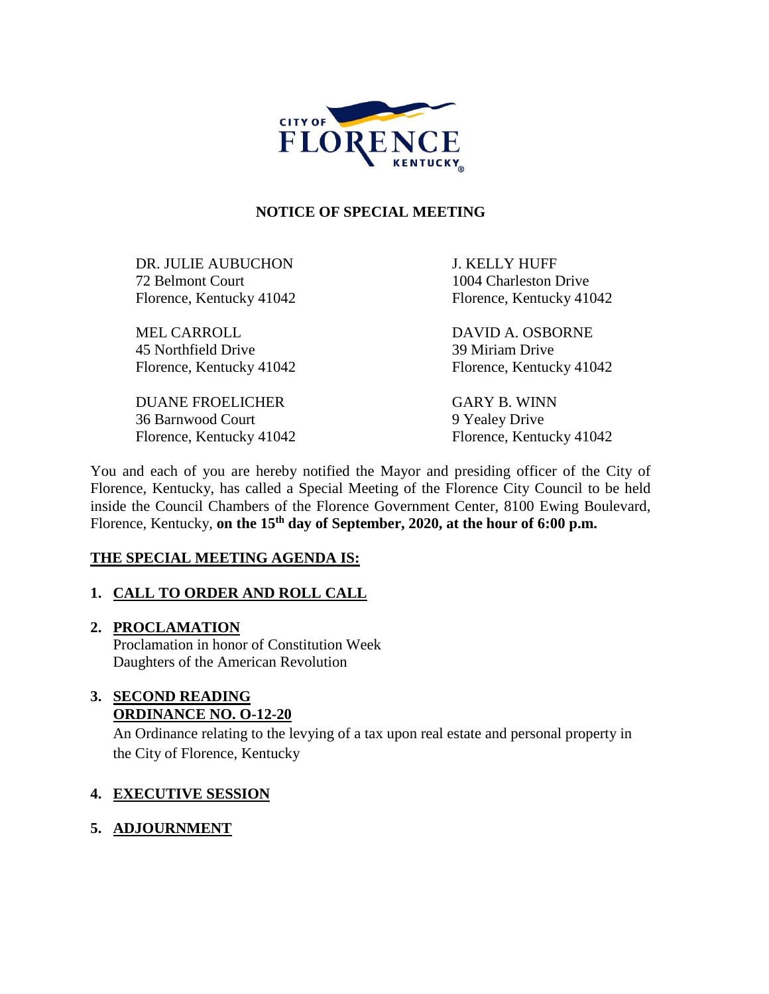

# **NOTICE OF SPECIAL MEETING**

DR. JULIE AUBUCHON J. KELLY HUFF 72 Belmont Court 1004 Charleston Drive Florence, Kentucky 41042 Florence, Kentucky 41042

MEL CARROLL DAVID A. OSBORNE 45 Northfield Drive 39 Miriam Drive Florence, Kentucky 41042 Florence, Kentucky 41042

DUANE FROELICHER GARY B. WINN 36 Barnwood Court 9 Yealey Drive

Florence, Kentucky 41042 Florence, Kentucky 41042

You and each of you are hereby notified the Mayor and presiding officer of the City of Florence, Kentucky, has called a Special Meeting of the Florence City Council to be held inside the Council Chambers of the Florence Government Center, 8100 Ewing Boulevard, Florence, Kentucky, **on the 15th day of September, 2020, at the hour of 6:00 p.m.** 

# **THE SPECIAL MEETING AGENDA IS:**

# **1. CALL TO ORDER AND ROLL CALL**

# **2. PROCLAMATION**

Proclamation in honor of Constitution Week Daughters of the American Revolution

#### **3. SECOND READING ORDINANCE NO. O-12-20**

An Ordinance relating to the levying of a tax upon real estate and personal property in the City of Florence, Kentucky

# **4. EXECUTIVE SESSION**

# **5. ADJOURNMENT**